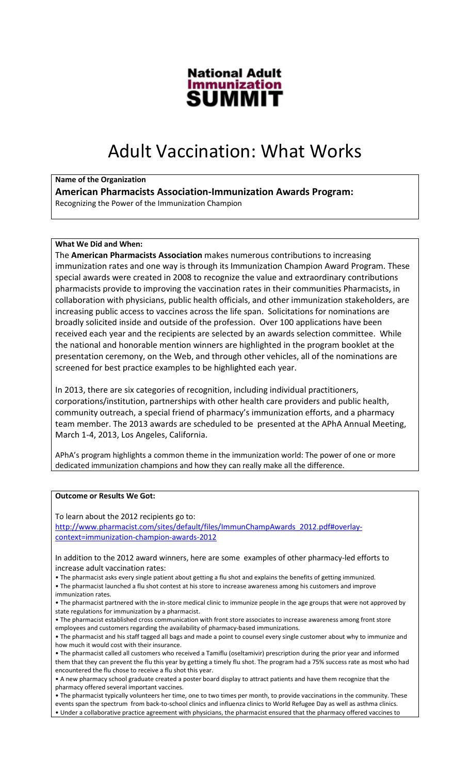

# Adult Vaccination: What Works

# Name of the Organization

American Pharmacists Association-Immunization Awards Program: Recognizing the Power of the Immunization Champion

# What We Did and When:

The American Pharmacists Association makes numerous contributions to increasing immunization rates and one way is through its Immunization Champion Award Program. These special awards were created in 2008 to recognize the value and extraordinary contributions pharmacists provide to improving the vaccination rates in their communities Pharmacists, in collaboration with physicians, public health officials, and other immunization stakeholders, are increasing public access to vaccines across the life span. Solicitations for nominations are broadly solicited inside and outside of the profession. Over 100 applications have been received each year and the recipients are selected by an awards selection committee. While the national and honorable mention winners are highlighted in the program booklet at the presentation ceremony, on the Web, and through other vehicles, all of the nominations are screened for best practice examples to be highlighted each year.

In 2013, there are six categories of recognition, including individual practitioners, corporations/institution, partnerships with other health care providers and public health, community outreach, a special friend of pharmacy's immunization efforts, and a pharmacy team member. The 2013 awards are scheduled to be presented at the APhA Annual Meeting, March 1-4, 2013, Los Angeles, California.

APhA's program highlights a common theme in the immunization world: The power of one or more dedicated immunization champions and how they can really make all the difference.

### Outcome or Results We Got:

To learn about the 2012 recipients go to:

http://www.pharmacist.com/sites/default/files/ImmunChampAwards\_2012.pdf#overlaycontext=immunization-champion-awards-2012

In addition to the 2012 award winners, here are some examples of other pharmacy-led efforts to increase adult vaccination rates:

- The pharmacist asks every single patient about getting a flu shot and explains the benefits of getting immunized. • The pharmacist launched a flu shot contest at his store to increase awareness among his customers and improve immunization rates.
- The pharmacist partnered with the in-store medical clinic to immunize people in the age groups that were not approved by state regulations for immunization by a pharmacist.
- The pharmacist established cross communication with front store associates to increase awareness among front store employees and customers regarding the availability of pharmacy-based immunizations.
- The pharmacist and his staff tagged all bags and made a point to counsel every single customer about why to immunize and how much it would cost with their insurance.
- The pharmacist called all customers who received a Tamiflu (oseltamivir) prescription during the prior year and informed them that they can prevent the flu this year by getting a timely flu shot. The program had a 75% success rate as most who had encountered the flu chose to receive a flu shot this year.
- A new pharmacy school graduate created a poster board display to attract patients and have them recognize that the pharmacy offered several important vaccines.

• The pharmacist typically volunteers her time, one to two times per month, to provide vaccinations in the community. These events span the spectrum from back-to-school clinics and influenza clinics to World Refugee Day as well as asthma clinics. • Under a collaborative practice agreement with physicians, the pharmacist ensured that the pharmacy offered vaccines to